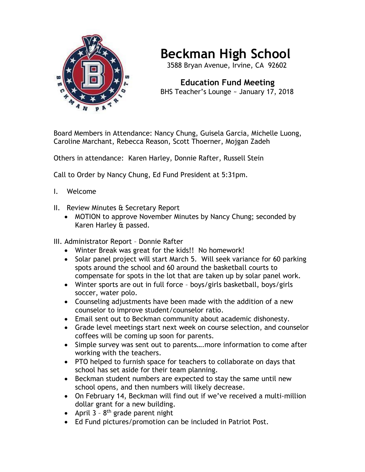

## **Beckman High School**

3588 Bryan Avenue, Irvine, CA 92602

 **Education Fund Meeting** BHS Teacher's Lounge ~ January 17, 2018

Board Members in Attendance: Nancy Chung, Guisela Garcia, Michelle Luong, Caroline Marchant, Rebecca Reason, Scott Thoerner, Mojgan Zadeh

Others in attendance: Karen Harley, Donnie Rafter, Russell Stein

Call to Order by Nancy Chung, Ed Fund President at 5:31pm.

- I. Welcome
- II. Review Minutes & Secretary Report
	- MOTION to approve November Minutes by Nancy Chung; seconded by Karen Harley & passed.

III. Administrator Report – Donnie Rafter

- Winter Break was great for the kids!! No homework!
- Solar panel project will start March 5. Will seek variance for 60 parking spots around the school and 60 around the basketball courts to compensate for spots in the lot that are taken up by solar panel work.
- Winter sports are out in full force boys/girls basketball, boys/girls soccer, water polo.
- Counseling adjustments have been made with the addition of a new counselor to improve student/counselor ratio.
- Email sent out to Beckman community about academic dishonesty.
- Grade level meetings start next week on course selection, and counselor coffees will be coming up soon for parents.
- Simple survey was sent out to parents….more information to come after working with the teachers.
- PTO helped to furnish space for teachers to collaborate on days that school has set aside for their team planning.
- Beckman student numbers are expected to stay the same until new school opens, and then numbers will likely decrease.
- On February 14, Beckman will find out if we've received a multi-million dollar grant for a new building.
- April 3 8<sup>th</sup> grade parent night
- Ed Fund pictures/promotion can be included in Patriot Post.